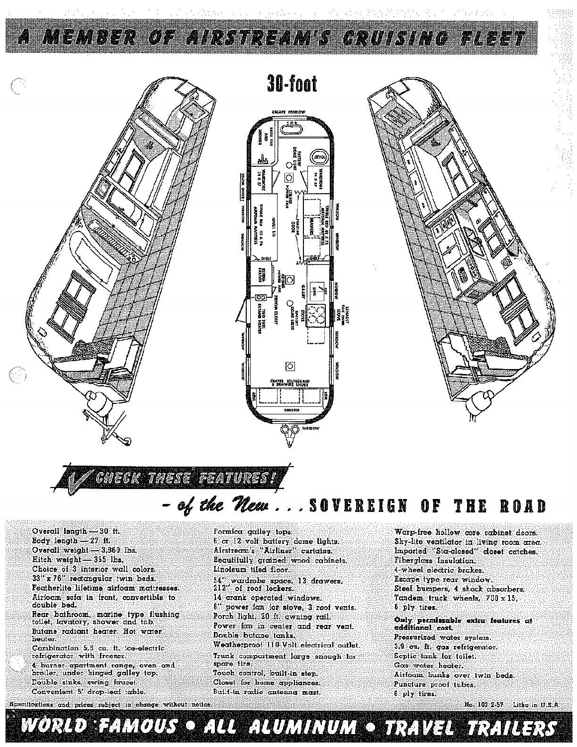

## **GHECK THESE FEATURES!**

## of the New...SOVEREIGN OF THE ROAD

Overall length -30 ft.  $Body$  length  $-27$  ff. Overcill weight - 3,860 lbs.  $Hitch weight$  - 355 lbs. Choice of 3 interior wall colors. 33" x 76" rectangular twin beds. Featherlite lifetime airfoam mattresses. Airfoum sofa in front, convertible to double bed. Rear bathroom, marine type flushing<br>tollet, lavatory, shower and tub. Butane radiant heater. Hot water hecter. Combination 5.6 cu. it. ice-electric refrigerator with freezer. 4 burner apartment range, oven and broiler, under hinged galley top. Double sinks, swing foucet.

Specifications and prices subject to change without notice

Convenient 5' drop-leaf table.

Beautifully grained wood cabinets. Linoleum tiled floor. 54" wardrobe space, 13 drawers,<br>212" of roof lockers. 14 crank operated windows. 8" power icn for stove, 3 roof vents. Porch light, 20 ft awning rail. Power fan in center and rear vent. Double butcne tonks. Weatherproof 110-Volt electrical outlet. Trunk compartment large enough for spare tire. Touch control, built-in step. Closet for home appliances. Built-in radio antenna mast.

WORLD FAMOUS O ALL ALUMINUM O TRAVEL TRAILERS

6 or 12 volt battery dome lights.

Airstream's "Airliner" curtains.

Formica galley tops.

Warp-free hollow core cabinet doors. Sky-lite ventilator in living room area. Imported "Sta-closed" closet catches. Fiberglass Insulation. 4-wheel electric brokes. Escape type rear window Steel bumpers, 4 shock absorbers. Tondem iruck wheels, 700 x 15, 6 ply tires.

Only permissable extra features at additional cost. Pressurized water system. 3.9 cu. It. gas refrigerator. Septic tank for toilet. Gas water heater. Airfocm bunks over twin beds. Puncture proof tubes. 8 ply tires.

No. 103 2-57 Litho in U.S.A